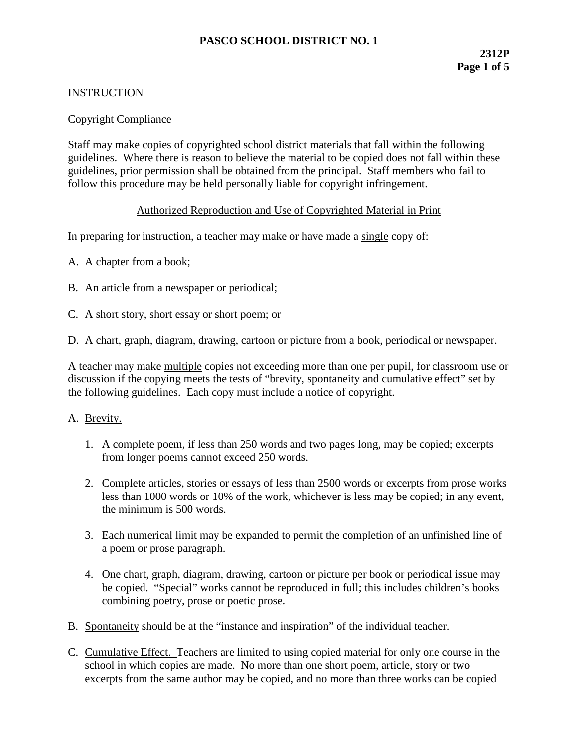# **PASCO SCHOOL DISTRICT NO. 1**

#### **INSTRUCTION**

#### Copyright Compliance

Staff may make copies of copyrighted school district materials that fall within the following guidelines. Where there is reason to believe the material to be copied does not fall within these guidelines, prior permission shall be obtained from the principal. Staff members who fail to follow this procedure may be held personally liable for copyright infringement.

#### Authorized Reproduction and Use of Copyrighted Material in Print

In preparing for instruction, a teacher may make or have made a single copy of:

- A. A chapter from a book;
- B. An article from a newspaper or periodical;
- C. A short story, short essay or short poem; or

D. A chart, graph, diagram, drawing, cartoon or picture from a book, periodical or newspaper.

A teacher may make multiple copies not exceeding more than one per pupil, for classroom use or discussion if the copying meets the tests of "brevity, spontaneity and cumulative effect" set by the following guidelines. Each copy must include a notice of copyright.

#### A. Brevity.

- 1. A complete poem, if less than 250 words and two pages long, may be copied; excerpts from longer poems cannot exceed 250 words.
- 2. Complete articles, stories or essays of less than 2500 words or excerpts from prose works less than 1000 words or 10% of the work, whichever is less may be copied; in any event, the minimum is 500 words.
- 3. Each numerical limit may be expanded to permit the completion of an unfinished line of a poem or prose paragraph.
- 4. One chart, graph, diagram, drawing, cartoon or picture per book or periodical issue may be copied. "Special" works cannot be reproduced in full; this includes children's books combining poetry, prose or poetic prose.
- B. Spontaneity should be at the "instance and inspiration" of the individual teacher.
- C. Cumulative Effect. Teachers are limited to using copied material for only one course in the school in which copies are made. No more than one short poem, article, story or two excerpts from the same author may be copied, and no more than three works can be copied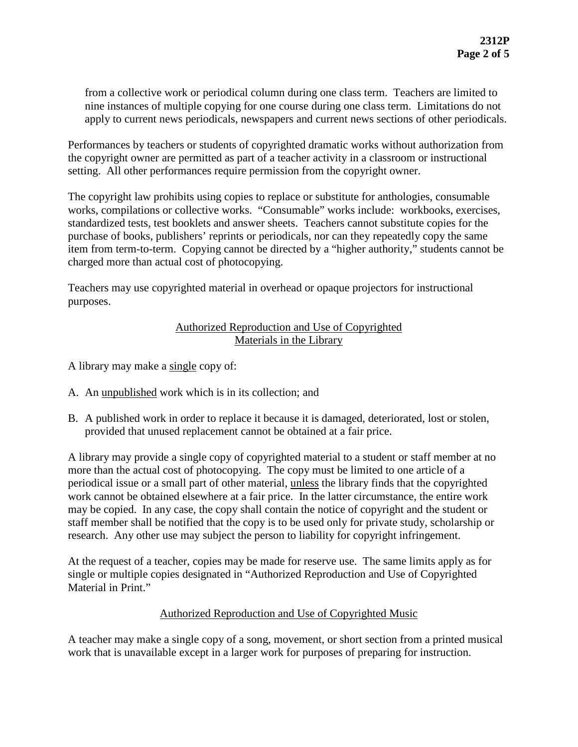from a collective work or periodical column during one class term. Teachers are limited to nine instances of multiple copying for one course during one class term. Limitations do not apply to current news periodicals, newspapers and current news sections of other periodicals.

Performances by teachers or students of copyrighted dramatic works without authorization from the copyright owner are permitted as part of a teacher activity in a classroom or instructional setting. All other performances require permission from the copyright owner.

The copyright law prohibits using copies to replace or substitute for anthologies, consumable works, compilations or collective works. "Consumable" works include: workbooks, exercises, standardized tests, test booklets and answer sheets. Teachers cannot substitute copies for the purchase of books, publishers' reprints or periodicals, nor can they repeatedly copy the same item from term-to-term. Copying cannot be directed by a "higher authority," students cannot be charged more than actual cost of photocopying.

Teachers may use copyrighted material in overhead or opaque projectors for instructional purposes.

### Authorized Reproduction and Use of Copyrighted Materials in the Library

- A library may make a single copy of:
- A. An unpublished work which is in its collection; and
- B. A published work in order to replace it because it is damaged, deteriorated, lost or stolen, provided that unused replacement cannot be obtained at a fair price.

A library may provide a single copy of copyrighted material to a student or staff member at no more than the actual cost of photocopying. The copy must be limited to one article of a periodical issue or a small part of other material, unless the library finds that the copyrighted work cannot be obtained elsewhere at a fair price. In the latter circumstance, the entire work may be copied. In any case, the copy shall contain the notice of copyright and the student or staff member shall be notified that the copy is to be used only for private study, scholarship or research. Any other use may subject the person to liability for copyright infringement.

At the request of a teacher, copies may be made for reserve use. The same limits apply as for single or multiple copies designated in "Authorized Reproduction and Use of Copyrighted Material in Print."

## Authorized Reproduction and Use of Copyrighted Music

A teacher may make a single copy of a song, movement, or short section from a printed musical work that is unavailable except in a larger work for purposes of preparing for instruction.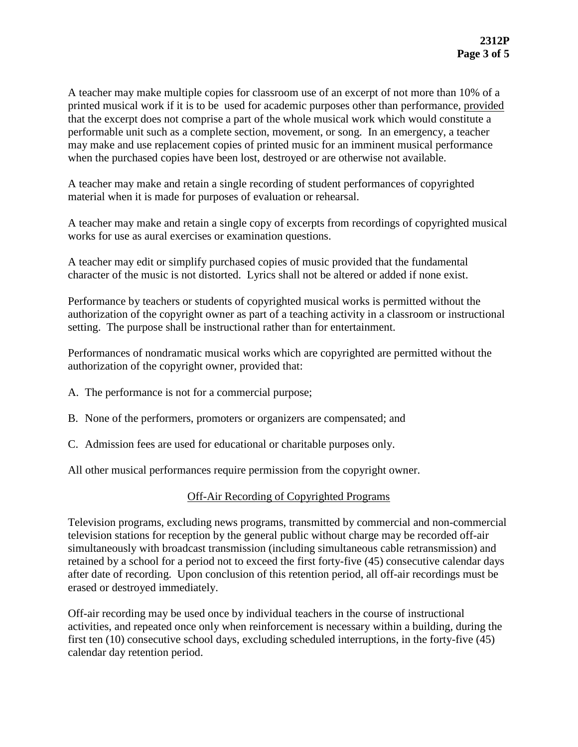A teacher may make multiple copies for classroom use of an excerpt of not more than 10% of a printed musical work if it is to be used for academic purposes other than performance, provided that the excerpt does not comprise a part of the whole musical work which would constitute a performable unit such as a complete section, movement, or song. In an emergency, a teacher may make and use replacement copies of printed music for an imminent musical performance when the purchased copies have been lost, destroyed or are otherwise not available.

A teacher may make and retain a single recording of student performances of copyrighted material when it is made for purposes of evaluation or rehearsal.

A teacher may make and retain a single copy of excerpts from recordings of copyrighted musical works for use as aural exercises or examination questions.

A teacher may edit or simplify purchased copies of music provided that the fundamental character of the music is not distorted. Lyrics shall not be altered or added if none exist.

Performance by teachers or students of copyrighted musical works is permitted without the authorization of the copyright owner as part of a teaching activity in a classroom or instructional setting. The purpose shall be instructional rather than for entertainment.

Performances of nondramatic musical works which are copyrighted are permitted without the authorization of the copyright owner, provided that:

- A. The performance is not for a commercial purpose;
- B. None of the performers, promoters or organizers are compensated; and
- C. Admission fees are used for educational or charitable purposes only.

All other musical performances require permission from the copyright owner.

#### Off-Air Recording of Copyrighted Programs

Television programs, excluding news programs, transmitted by commercial and non-commercial television stations for reception by the general public without charge may be recorded off-air simultaneously with broadcast transmission (including simultaneous cable retransmission) and retained by a school for a period not to exceed the first forty-five (45) consecutive calendar days after date of recording. Upon conclusion of this retention period, all off-air recordings must be erased or destroyed immediately.

Off-air recording may be used once by individual teachers in the course of instructional activities, and repeated once only when reinforcement is necessary within a building, during the first ten (10) consecutive school days, excluding scheduled interruptions, in the forty-five (45) calendar day retention period.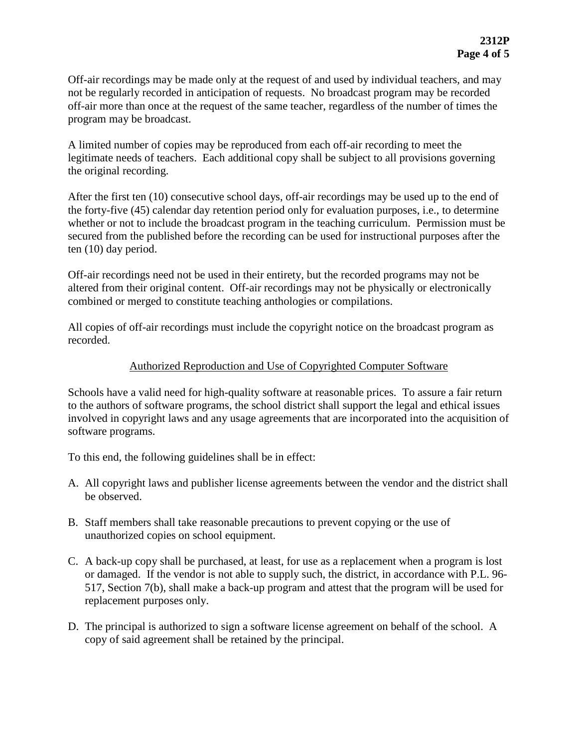Off-air recordings may be made only at the request of and used by individual teachers, and may not be regularly recorded in anticipation of requests. No broadcast program may be recorded off-air more than once at the request of the same teacher, regardless of the number of times the program may be broadcast.

A limited number of copies may be reproduced from each off-air recording to meet the legitimate needs of teachers. Each additional copy shall be subject to all provisions governing the original recording.

After the first ten (10) consecutive school days, off-air recordings may be used up to the end of the forty-five (45) calendar day retention period only for evaluation purposes, i.e., to determine whether or not to include the broadcast program in the teaching curriculum. Permission must be secured from the published before the recording can be used for instructional purposes after the ten (10) day period.

Off-air recordings need not be used in their entirety, but the recorded programs may not be altered from their original content. Off-air recordings may not be physically or electronically combined or merged to constitute teaching anthologies or compilations.

All copies of off-air recordings must include the copyright notice on the broadcast program as recorded.

## Authorized Reproduction and Use of Copyrighted Computer Software

Schools have a valid need for high-quality software at reasonable prices. To assure a fair return to the authors of software programs, the school district shall support the legal and ethical issues involved in copyright laws and any usage agreements that are incorporated into the acquisition of software programs.

To this end, the following guidelines shall be in effect:

- A. All copyright laws and publisher license agreements between the vendor and the district shall be observed.
- B. Staff members shall take reasonable precautions to prevent copying or the use of unauthorized copies on school equipment.
- C. A back-up copy shall be purchased, at least, for use as a replacement when a program is lost or damaged. If the vendor is not able to supply such, the district, in accordance with P.L. 96- 517, Section 7(b), shall make a back-up program and attest that the program will be used for replacement purposes only.
- D. The principal is authorized to sign a software license agreement on behalf of the school. A copy of said agreement shall be retained by the principal.